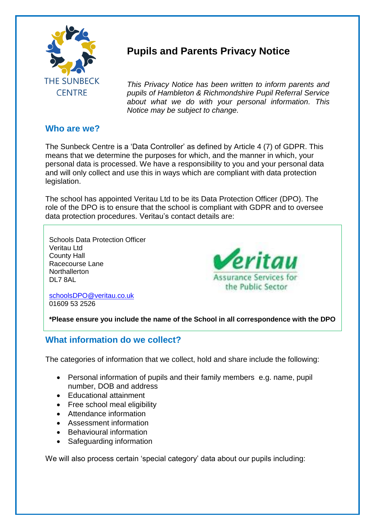

# **Pupils and Parents Privacy Notice**

*This Privacy Notice has been written to inform parents and pupils of Hambleton & Richmondshire Pupil Referral Service about what we do with your personal information. This Notice may be subject to change.*

## **Who are we?**

The Sunbeck Centre is a 'Data Controller' as defined by Article 4 (7) of GDPR. This means that we determine the purposes for which, and the manner in which, your personal data is processed. We have a responsibility to you and your personal data and will only collect and use this in ways which are compliant with data protection legislation.

The school has appointed Veritau Ltd to be its Data Protection Officer (DPO). The role of the DPO is to ensure that the school is compliant with GDPR and to oversee data protection procedures. Veritau's contact details are:

Schools Data Protection Officer Veritau Ltd County Hall Racecourse Lane **Northallerton** DL7 8AL



[schoolsDPO@veritau.co.uk](mailto:schoolsDPO@veritau.co.uk) 01609 53 2526

**\*Please ensure you include the name of the School in all correspondence with the DPO** 

# **What information do we collect?**

The categories of information that we collect, hold and share include the following:

- Personal information of pupils and their family members e.g. name, pupil number, DOB and address
- Educational attainment
- Free school meal eligibility
- Attendance information
- Assessment information
- Behavioural information
- Safeguarding information

We will also process certain 'special category' data about our pupils including: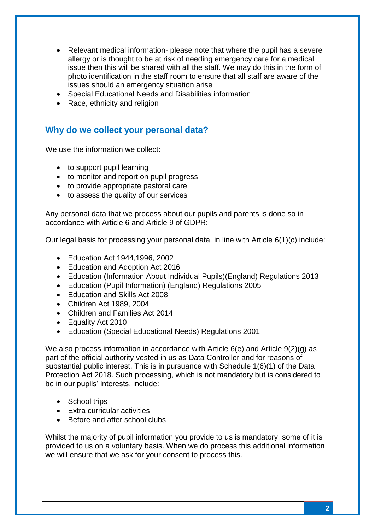- Relevant medical information- please note that where the pupil has a severe allergy or is thought to be at risk of needing emergency care for a medical issue then this will be shared with all the staff. We may do this in the form of photo identification in the staff room to ensure that all staff are aware of the issues should an emergency situation arise
- Special Educational Needs and Disabilities information
- Race, ethnicity and religion

### **Why do we collect your personal data?**

We use the information we collect:

- to support pupil learning
- to monitor and report on pupil progress
- to provide appropriate pastoral care
- to assess the quality of our services

Any personal data that we process about our pupils and parents is done so in accordance with Article 6 and Article 9 of GDPR:

Our legal basis for processing your personal data, in line with Article 6(1)(c) include:

- Education Act 1944,1996, 2002
- Education and Adoption Act 2016
- Education (Information About Individual Pupils)(England) Regulations 2013
- Education (Pupil Information) (England) Regulations 2005
- Fducation and Skills Act 2008
- Children Act 1989, 2004
- Children and Families Act 2014
- Equality Act 2010
- Education (Special Educational Needs) Regulations 2001

We also process information in accordance with Article 6(e) and Article 9(2)(g) as part of the official authority vested in us as Data Controller and for reasons of substantial public interest. This is in pursuance with Schedule 1(6)(1) of the Data Protection Act 2018. Such processing, which is not mandatory but is considered to be in our pupils' interests, include:

- School trips
- Extra curricular activities
- Before and after school clubs

Whilst the majority of pupil information you provide to us is mandatory, some of it is provided to us on a voluntary basis. When we do process this additional information we will ensure that we ask for your consent to process this.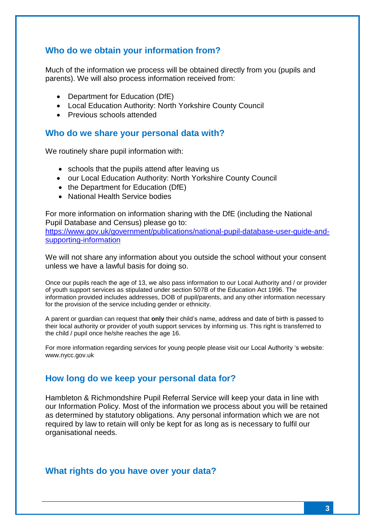## **Who do we obtain your information from?**

Much of the information we process will be obtained directly from you (pupils and parents). We will also process information received from:

- Department for Education (DfE)
- Local Education Authority: North Yorkshire County Council
- Previous schools attended

#### **Who do we share your personal data with?**

We routinely share pupil information with:

- schools that the pupils attend after leaving us
- our Local Education Authority: North Yorkshire County Council
- $\bullet$  the Department for Education (DfE)
- National Health Service bodies

For more information on information sharing with the DfE (including the National Pupil Database and Census) please go to:

[https://www.gov.uk/government/publications/national-pupil-database-user-guide-and](https://www.gov.uk/government/publications/national-pupil-database-user-guide-and-supporting-information)[supporting-information](https://www.gov.uk/government/publications/national-pupil-database-user-guide-and-supporting-information)

We will not share any information about you outside the school without your consent unless we have a lawful basis for doing so.

Once our pupils reach the age of 13, we also pass information to our Local Authority and / or provider of youth support services as stipulated under section 507B of the Education Act 1996. The information provided includes addresses, DOB of pupil/parents, and any other information necessary for the provision of the service including gender or ethnicity.

A parent or guardian can request that **only** their child's name, address and date of birth is passed to their local authority or provider of youth support services by informing us. This right is transferred to the child / pupil once he/she reaches the age 16.

For more information regarding services for young people please visit our Local Authority 's website: www.nycc.gov.uk

#### **How long do we keep your personal data for?**

Hambleton & Richmondshire Pupil Referral Service will keep your data in line with our Information Policy. Most of the information we process about you will be retained as determined by statutory obligations. Any personal information which we are not required by law to retain will only be kept for as long as is necessary to fulfil our organisational needs.

#### **What rights do you have over your data?**